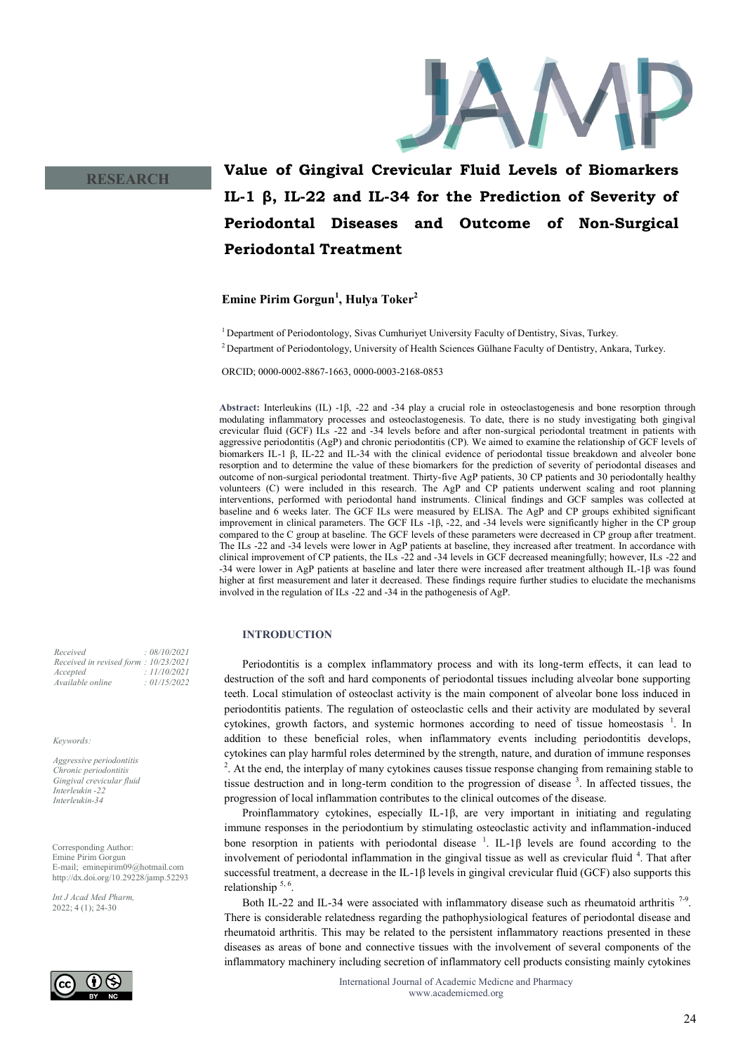

# **RESEARCH**

# **Value of Gingival Crevicular Fluid Levels of Biomarkers IL-1 β, IL-22 and IL-34 for the Prediction of Severity of Periodontal Diseases and Outcome of Non-Surgical Periodontal Treatment**

**Emine Pirim Gorgun<sup>1</sup> , Hulya Toker<sup>2</sup>**

<sup>1</sup> Department of Periodontology, Sivas Cumhuriyet University Faculty of Dentistry, Sivas, Turkey.

<sup>2</sup> Department of Periodontology, University of Health Sciences Gülhane Faculty of Dentistry, Ankara, Turkey.

ORCID; 0000-0002-8867-1663, 0000-0003-2168-0853

**Abstract:** Interleukins (IL) -1β, -22 and -34 play a crucial role in osteoclastogenesis and bone resorption through modulating inflammatory processes and osteoclastogenesis. To date, there is no study investigating both gingival crevicular fluid (GCF) ILs -22 and -34 levels before and after non-surgical periodontal treatment in patients with aggressive periodontitis (AgP) and chronic periodontitis (CP). We aimed to examine the relationship of GCF levels of biomarkers IL-1 β, IL-22 and IL-34 with the clinical evidence of periodontal tissue breakdown and alveoler bone resorption and to determine the value of these biomarkers for the prediction of severity of periodontal diseases and outcome of non-surgical periodontal treatment. Thirty-five AgP patients, 30 CP patients and 30 periodontally healthy volunteers (C) were included in this research. The AgP and CP patients underwent scaling and root planning interventions, performed with periodontal hand instruments. Clinical findings and GCF samples was collected at baseline and 6 weeks later. The GCF ILs were measured by ELISA. The AgP and CP groups exhibited significant improvement in clinical parameters. The GCF ILs -1β, -22, and -34 levels were significantly higher in the CP group compared to the C group at baseline. The GCF levels of these parameters were decreased in CP group after treatment. The ILs -22 and -34 levels were lower in AgP patients at baseline, they increased after treatment. In accordance with clinical improvement of CP patients, the ILs -22 and -34 levels in GCF decreased meaningfully; however, ILs -22 and -34 were lower in AgP patients at baseline and later there were increased after treatment although IL-1β was found higher at first measurement and later it decreased. These findings require further studies to elucidate the mechanisms involved in the regulation of ILs -22 and -34 in the pathogenesis of AgP.

# **INTRODUCTION**

Periodontitis is a complex inflammatory process and with its long-term effects, it can lead to destruction of the soft and hard components of periodontal tissues including alveolar bone supporting teeth. Local stimulation of osteoclast activity is the main component of alveolar bone loss induced in periodontitis patients. The regulation of osteoclastic cells and their activity are modulated by several cytokines, growth factors, and systemic hormones according to need of tissue homeostasis <sup>1</sup>[.](file:///C:/Users/NECATI/Downloads/2ad91e34-1592-4395-9de0-e0b8a749a79e%20(2).docx#_ENREF_1#_ENREF_1) In addition to these beneficial roles, when inflammatory events including periodontitis develops, cytokines can play harmful roles determined by the strength, nature, and duration of immune responses <sup>2</sup>[.](file:///C:/Users/NECATI/Downloads/2ad91e34-1592-4395-9de0-e0b8a749a79e%20(2).docx#_ENREF_2#_ENREF_2) At the end, the interplay of many cytokines causes tissue response changing from remaining stable to tissue destruction and in long-term condition to the progression of disease <sup>3</sup> [.](file:///C:/Users/NECATI/Downloads/2ad91e34-1592-4395-9de0-e0b8a749a79e%20(2).docx#_ENREF_3#_ENREF_3) In affected tissues, the progression of local inflammation contributes to the clinical outcomes of the disease.

Proinflammatory cytokines, especially IL-1β, are very important in initiating and regulating immune responses in the periodontium by stimulating osteoclastic activity and inflammation-induced bone resorption in patients with periodontal disease  $\frac{1}{1}$ [.](file:///C:/Users/NECATI/Downloads/2ad91e34-1592-4395-9de0-e0b8a749a79e%20(2).docx#_ENREF_1#_ENREF_1) IL-1 $\beta$  levels are found according to the involvement of periodontal inflammation in the gingival tissue as well as crevicular fluid <sup>4</sup>[.](file:///C:/Users/NECATI/Downloads/2ad91e34-1592-4395-9de0-e0b8a749a79e%20(2).docx#_ENREF_4#_ENREF_4) That after successful treatment, a decrease in the IL-1 $\beta$  levels in gingival crevicular fluid (GCF) also supports this relationship<sup>[5,](file:///C:/Users/NECATI/Downloads/2ad91e34-1592-4395-9de0-e0b8a749a79e%20(2).docx#_ENREF_5#_ENREF_5) 6</sup>.

Both IL-22 and IL-34 were associated with inflammatory disease such as rheumatoid arthritis  $7-9$ . There is considerable relatedness regarding the pathophysiological features of periodontal disease and rheumatoid arthritis. This may be related to the persistent inflammatory reactions presented in these diseases as areas of bone and connective tissues with the involvement of several components of the inflammatory machinery including secretion of inflammatory cell products consisting mainly cytokines

*Received : 08/10/2021 Received in revised form : 10/23/2021 Accepted : 11/10/2021 Available online : 01/15/2022*

*Keywords:*

*Aggressive periodontitis Chronic periodontitis Gingival crevicular fluid Interleukin -22 Interleukin-34*

Corresponding Author: Emine Pirim Gorgun E-mail; eminepirim09@hotmail.com http://dx.doi.org/10.29228/jamp.52293

*Int J Acad Med Pharm,* 2022; 4 (1); 24-30

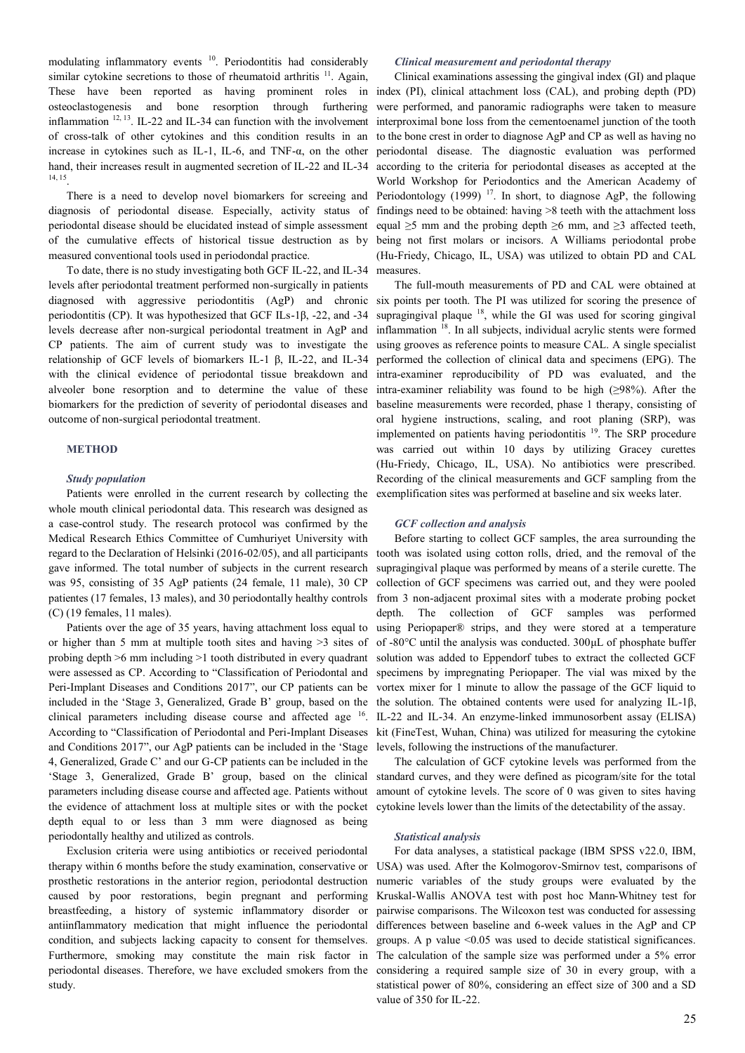modulating inflammatory events [10](file:///C:/Users/NECATI/Downloads/2ad91e34-1592-4395-9de0-e0b8a749a79e%20(2).docx#_ENREF_10#_ENREF_10). Periodontitis had considerably similar cytokine secretions to those of rheumatoid arthritis  $11$ . Again, These have been reported as having prominent roles in osteoclastogenesis and bone resorption through furthering inflammation <sup>[12,](file:///C:/Users/NECATI/Downloads/2ad91e34-1592-4395-9de0-e0b8a749a79e%20(2).docx#_ENREF_12#_ENREF_12) [13](file:///C:/Users/NECATI/Downloads/2ad91e34-1592-4395-9de0-e0b8a749a79e%20(2).docx#_ENREF_13#_ENREF_13)</sup>. IL-22 and IL-34 can function with the involvement of cross-talk of other cytokines and this condition results in an increase in cytokines such as IL-1, IL-6, and TNF-α, on the other hand, their increases result in augmented secretion of IL-22 and IL-34 [14,](file:///C:/Users/NECATI/Downloads/2ad91e34-1592-4395-9de0-e0b8a749a79e%20(2).docx#_ENREF_14#_ENREF_14) [15](file:///C:/Users/NECATI/Downloads/2ad91e34-1592-4395-9de0-e0b8a749a79e%20(2).docx#_ENREF_15#_ENREF_15) .

There is a need to develop novel biomarkers for screeing and diagnosis of periodontal disease. Especially, activity status of periodontal disease should be elucidated instead of simple assessment of the cumulative effects of historical tissue destruction as by measured conventional tools used in periodondal practice.

To date, there is no study investigating both GCF IL-22, and IL-34 levels after periodontal treatment performed non-surgically in patients diagnosed with aggressive periodontitis (AgP) and chronic periodontitis (CP). It was hypothesized that GCF ILs-1β, -22, and -34 levels decrease after non-surgical periodontal treatment in AgP and CP patients. The aim of current study was to investigate the relationship of GCF levels of biomarkers IL-1 β, IL-22, and IL-34 with the clinical evidence of periodontal tissue breakdown and alveoler bone resorption and to determine the value of these biomarkers for the prediction of severity of periodontal diseases and outcome of non-surgical periodontal treatment.

## **METHOD**

#### *Study population*

Patients were enrolled in the current research by collecting the whole mouth clinical periodontal data. This research was designed as a case-control study. The research protocol was confirmed by the Medical Research Ethics Committee of Cumhuriyet University with regard to the Declaration of Helsinki (2016-02/05), and all participants gave informed. The total number of subjects in the current research was 95, consisting of 35 AgP patients (24 female, 11 male), 30 CP patientes (17 females, 13 males), and 30 periodontally healthy controls (C) (19 females, 11 males).

Patients over the age of 35 years, having attachment loss equal to or higher than 5 mm at multiple tooth sites and having >3 sites of probing depth >6 mm including >1 tooth distributed in every quadrant were assessed as CP. According to "Classification of Periodontal and Peri-Implant Diseases and Conditions 2017", our CP patients can be included in the 'Stage 3, Generalized, Grade B' group, based on the clinical parameters including disease course and affected age <sup>[16](file:///C:/Users/NECATI/Downloads/2ad91e34-1592-4395-9de0-e0b8a749a79e%20(2).docx#_ENREF_16#_ENREF_16)</sup>. and Conditions 2017", our AgP patients can be included in the 'Stage 4, Generalized, Grade C' and our G-CP patients can be included in the 'Stage 3, Generalized, Grade B' group, based on the clinical parameters including disease course and affected age. Patients without the evidence of attachment loss at multiple sites or with the pocket depth equal to or less than 3 mm were diagnosed as being periodontally healthy and utilized as controls.

Exclusion criteria were using antibiotics or received periodontal therapy within 6 months before the study examination, conservative or prosthetic restorations in the anterior region, periodontal destruction caused by poor restorations, begin pregnant and performing breastfeeding, a history of systemic inflammatory disorder or antiinflammatory medication that might influence the periodontal condition, and subjects lacking capacity to consent for themselves. Furthermore, smoking may constitute the main risk factor in periodontal diseases. Therefore, we have excluded smokers from the study.

#### *Clinical measurement and periodontal therapy*

Clinical examinations assessing the gingival index (GI) and plaque index (PI), clinical attachment loss (CAL), and probing depth (PD) were performed, and panoramic radiographs were taken to measure interproximal bone loss from the cementoenamel junction of the tooth to the bone crest in order to diagnose AgP and CP as well as having no periodontal disease. The diagnostic evaluation was performed according to the criteria for periodontal diseases as accepted at the World Workshop for Periodontics and the American Academy of Periodontology (1999)  $^{17}$  $^{17}$  $^{17}$ . In short, to diagnose AgP, the following findings need to be obtained: having >8 teeth with the attachment loss equal  $\geq$ 5 mm and the probing depth  $\geq$ 6 mm, and  $\geq$ 3 affected teeth, being not first molars or incisors. A Williams periodontal probe (Hu-Friedy, Chicago, IL, USA) was utilized to obtain PD and CAL measures.

The full-mouth measurements of PD and CAL were obtained at six points per tooth. The PI was utilized for scoring the presence of supragingival plaque  $18$ , while the GI was used for scoring gingival inflammation [18](file:///C:/Users/NECATI/Downloads/2ad91e34-1592-4395-9de0-e0b8a749a79e%20(2).docx#_ENREF_18#_ENREF_18). In all subjects, individual acrylic stents were formed using grooves as reference points to measure CAL. A single specialist performed the collection of clinical data and specimens (EPG). The intra-examiner reproducibility of PD was evaluated, and the intra-examiner reliability was found to be high  $(\geq 98\%)$ . After the baseline measurements were recorded, phase 1 therapy, consisting of oral hygiene instructions, scaling, and root planing (SRP), was implemented on patients having periodontitis <sup>[19](file:///C:/Users/NECATI/Downloads/2ad91e34-1592-4395-9de0-e0b8a749a79e%20(2).docx#_ENREF_19#_ENREF_19)</sup>. The SRP procedure was carried out within 10 days by utilizing Gracey curettes (Hu-Friedy, Chicago, IL, USA). No antibiotics were prescribed. Recording of the clinical measurements and GCF sampling from the exemplification sites was performed at baseline and six weeks later.

#### *GCF collection and analysis*

According to "Classification of Periodontal and Peri-Implant Diseases kit (FineTest, Wuhan, China) was utilized for measuring the cytokine Before starting to collect GCF samples, the area surrounding the tooth was isolated using cotton rolls, dried, and the removal of the supragingival plaque was performed by means of a sterile curette. The collection of GCF specimens was carried out, and they were pooled from 3 non-adjacent proximal sites with a moderate probing pocket depth. The collection of GCF samples was performed using Periopaper® strips, and they were stored at a temperature of -80°C until the analysis was conducted. 300μL of phosphate buffer solution was added to Eppendorf tubes to extract the collected GCF specimens by impregnating Periopaper. The vial was mixed by the vortex mixer for 1 minute to allow the passage of the GCF liquid to the solution. The obtained contents were used for analyzing IL-1β, IL-22 and IL-34. An enzyme-linked immunosorbent assay (ELISA) levels, following the instructions of the manufacturer.

> The calculation of GCF cytokine levels was performed from the standard curves, and they were defined as picogram/site for the total amount of cytokine levels. The score of 0 was given to sites having cytokine levels lower than the limits of the detectability of the assay.

#### *Statistical analysis*

For data analyses, a statistical package (IBM SPSS v22.0, IBM, USA) was used. After the Kolmogorov-Smirnov test, comparisons of numeric variables of the study groups were evaluated by the Kruskal-Wallis ANOVA test with post hoc Mann-Whitney test for pairwise comparisons. The Wilcoxon test was conducted for assessing differences between baseline and 6-week values in the AgP and CP groups. A p value  $\leq 0.05$  was used to decide statistical significances. The calculation of the sample size was performed under a 5% error considering a required sample size of 30 in every group, with a statistical power of 80%, considering an effect size of 300 and a SD value of 350 for IL-22.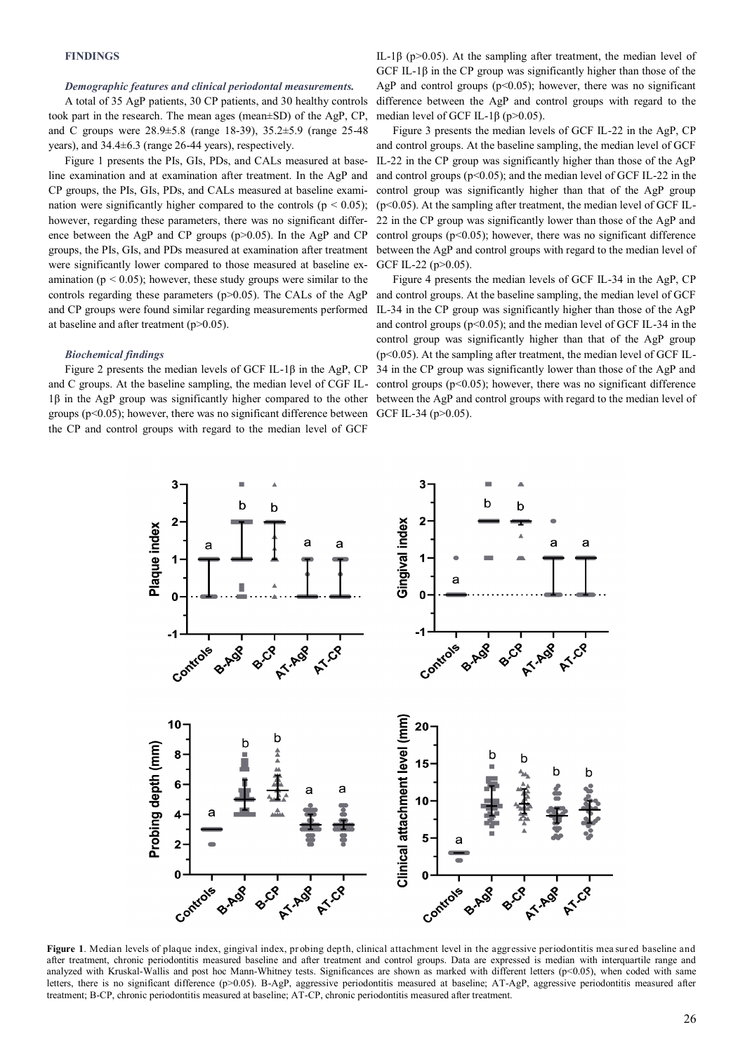# **FINDINGS**

#### *Demographic features and clinical periodontal measurements.*

A total of 35 AgP patients, 30 CP patients, and 30 healthy controls took part in the research. The mean ages (mean±SD) of the AgP, CP, and C groups were 28.9±5.8 (range 18-39), 35.2±5.9 (range 25-48 years), and 34.4±6.3 (range 26-44 years), respectively.

Figure 1 presents the PIs, GIs, PDs, and CALs measured at baseline examination and at examination after treatment. In the AgP and CP groups, the PIs, GIs, PDs, and CALs measured at baseline examination were significantly higher compared to the controls ( $p < 0.05$ ); however, regarding these parameters, there was no significant difference between the AgP and CP groups (p>0.05). In the AgP and CP groups, the PIs, GIs, and PDs measured at examination after treatment were significantly lower compared to those measured at baseline examination ( $p < 0.05$ ); however, these study groups were similar to the controls regarding these parameters  $(p>0.05)$ . The CALs of the AgP and CP groups were found similar regarding measurements performed at baseline and after treatment (p>0.05).

# *Biochemical findings*

groups ( $p<0.05$ ); however, there was no significant difference between GCF IL-34 ( $p>0.05$ ). the CP and control groups with regard to the median level of GCF

IL-1β ( $p > 0.05$ ). At the sampling after treatment, the median level of GCF IL-1 $\beta$  in the CP group was significantly higher than those of the AgP and control groups  $(p<0.05)$ ; however, there was no significant difference between the AgP and control groups with regard to the median level of GCF IL-1 $\beta$  (p>0.05).

Figure 3 presents the median levels of GCF IL-22 in the AgP, CP and control groups. At the baseline sampling, the median level of GCF IL-22 in the CP group was significantly higher than those of the AgP and control groups ( $p<0.05$ ); and the median level of GCF IL-22 in the control group was significantly higher than that of the AgP group  $(p<0.05)$ . At the sampling after treatment, the median level of GCF IL-22 in the CP group was significantly lower than those of the AgP and control groups  $(p<0.05)$ ; however, there was no significant difference between the AgP and control groups with regard to the median level of GCF IL-22 (p>0.05).

Figure 2 presents the median levels of GCF IL-1β in the AgP, CP 34 in the CP group was significantly lower than those of the AgP and and C groups. At the baseline sampling, the median level of CGF IL-control groups (p<0.05); however, there was no significant difference 1β in the AgP group was significantly higher compared to the other between the AgP and control groups with regard to the median level of Figure 4 presents the median levels of GCF IL-34 in the AgP, CP and control groups. At the baseline sampling, the median level of GCF IL-34 in the CP group was significantly higher than those of the AgP and control groups ( $p<0.05$ ); and the median level of GCF IL-34 in the control group was significantly higher than that of the AgP group  $(p<0.05)$ . At the sampling after treatment, the median level of GCF IL-



Figure 1. Median levels of plaque index, gingival index, probing depth, clinical attachment level in the aggressive periodontitis mea sured baseline and after treatment, chronic periodontitis measured baseline and after treatment and control groups. Data are expressed is median with interquartile range and analyzed with Kruskal-Wallis and post hoc Mann-Whitney tests. Significances are shown as marked with different letters (p<0.05), when coded with same letters, there is no significant difference (p>0.05). B-AgP, aggressive periodontitis measured at baseline; AT-AgP, aggressive periodontitis measured after treatment; B-CP, chronic periodontitis measured at baseline; AT-CP, chronic periodontitis measured after treatment.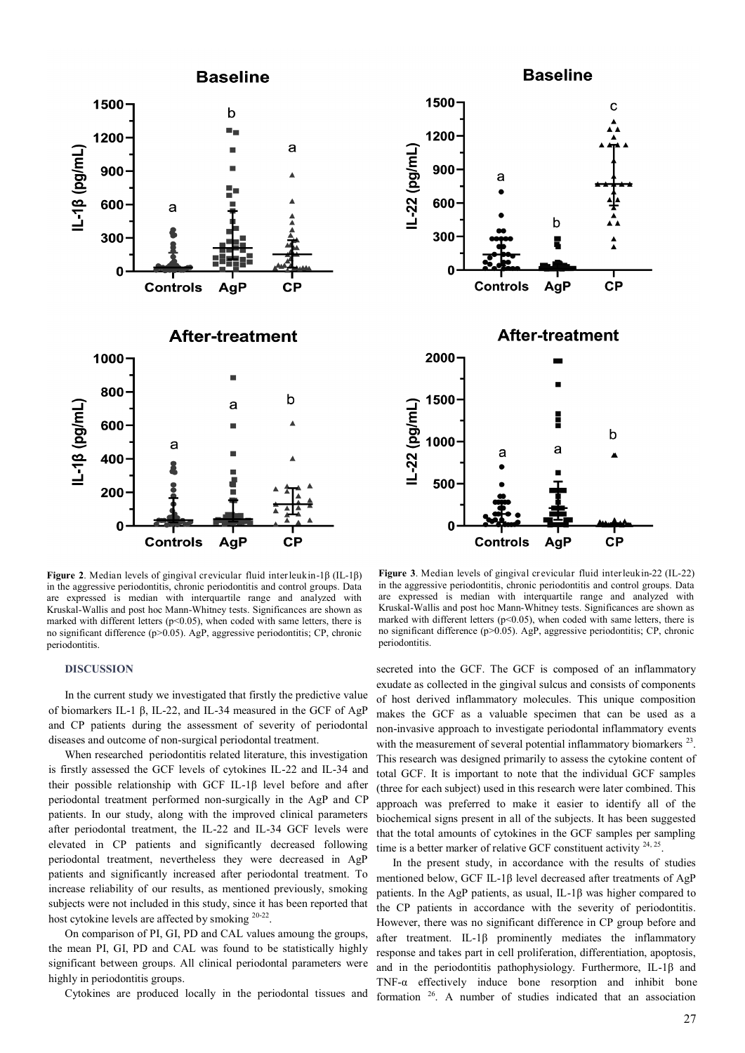



**Figure 2**. Median levels of gingival crevicular fluid interleukin-1β (IL-1β) in the aggressive periodontitis, chronic periodontitis and control groups. Data are expressed is median with interquartile range and analyzed with Kruskal-Wallis and post hoc Mann-Whitney tests. Significances are shown as marked with different letters ( $p$ <0.05), when coded with same letters, there is no significant difference (p>0.05). AgP, aggressive periodontitis; CP, chronic periodontitis.

#### **DISCUSSION**

In the current study we investigated that firstly the predictive value of biomarkers IL-1 β, IL-22, and IL-34 measured in the GCF of AgP and CP patients during the assessment of severity of periodontal diseases and outcome of non-surgical periodontal treatment.

When researched periodontitis related literature, this investigation is firstly assessed the GCF levels of cytokines IL-22 and IL-34 and their possible relationship with GCF IL-1β level before and after periodontal treatment performed non-surgically in the AgP and CP patients. In our study, along with the improved clinical parameters after periodontal treatment, the IL-22 and IL-34 GCF levels were elevated in CP patients and significantly decreased following periodontal treatment, nevertheless they were decreased in AgP patients and significantly increased after periodontal treatment. To increase reliability of our results, as mentioned previously, smoking subjects were not included in this study, since it has been reported that host cytokine levels are affected by smoking <sup>[20](file:///C:/Users/NECATI/Downloads/2ad91e34-1592-4395-9de0-e0b8a749a79e%20(2).docx#_ENREF_20#_ENREF_20)-22</sup>.

On comparison of PI, GI, PD and CAL values amoung the groups, the mean PI, GI, PD and CAL was found to be statistically highly significant between groups. All clinical periodontal parameters were highly in periodontitis groups.

Cytokines are produced locally in the periodontal tissues and

**Figure 3**. Median levels of gingival crevicular fluid interleukin-22 (IL-22) in the aggressive periodontitis, chronic periodontitis and control groups. Data are expressed is median with interquartile range and analyzed with Kruskal-Wallis and post hoc Mann-Whitney tests. Significances are shown as marked with different letters ( $p$ <0.05), when coded with same letters, there is no significant difference (p>0.05). AgP, aggressive periodontitis; CP, chronic periodontitis.

secreted into the GCF. The GCF is composed of an inflammatory exudate as collected in the gingival sulcus and consists of components of host derived inflammatory molecules. This unique composition makes the GCF as a valuable specimen that can be used as a non-invasive approach to investigate periodontal inflammatory events with the measurement of several potential inflammatory biomarkers  $23$ . This research was designed primarily to assess the cytokine content of total GCF. It is important to note that the individual GCF samples (three for each subject) used in this research were later combined. This approach was preferred to make it easier to identify all of the biochemical signs present in all of the subjects. It has been suggested that the total amounts of cytokines in the GCF samples per sampling time is a better marker of relative GCF constituent activity  $24, 25$  $24, 25$ .

In the present study, in accordance with the results of studies mentioned below, GCF IL-1β level decreased after treatments of AgP patients. In the AgP patients, as usual, IL-1β was higher compared to the CP patients in accordance with the severity of periodontitis. However, there was no significant difference in CP group before and after treatment. IL-1β prominently mediates the inflammatory response and takes part in cell proliferation, differentiation, apoptosis, and in the periodontitis pathophysiology. Furthermore, IL-1β and TNF-α effectively induce bone resorption and inhibit bone formation [26](file:///C:/Users/NECATI/Downloads/2ad91e34-1592-4395-9de0-e0b8a749a79e%20(2).docx#_ENREF_26#_ENREF_26). A number of studies indicated that an association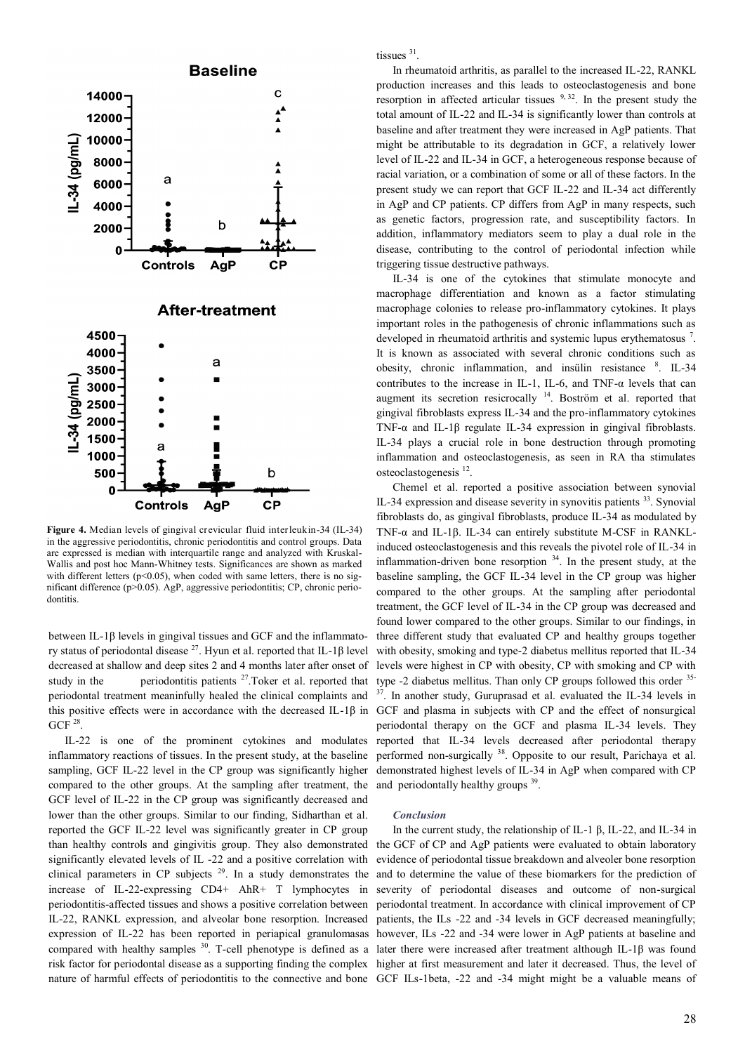

**Figure 4.** Median levels of gingival crevicular fluid interleukin-34 (IL-34) in the aggressive periodontitis, chronic periodontitis and control groups. Data are expressed is median with interquartile range and analyzed with Kruskal-Wallis and post hoc Mann-Whitney tests. Significances are shown as marked with different letters  $(p<0.05)$ , when coded with same letters, there is no significant difference (p>0.05). AgP, aggressive periodontitis; CP, chronic periodontitis.

between IL-1β levels in gingival tissues and GCF and the inflammato-ry status of periodontal disease <sup>[27](file:///C:/Users/NECATI/Downloads/2ad91e34-1592-4395-9de0-e0b8a749a79e%20(2).docx#_ENREF_27#_ENREF_27)</sup>. Hyun et al. reported that IL-1β level decreased at shallow and deep sites 2 and 4 months later after onset of study in the periodontitis patients  $27$ . Toker et al. reported that periodontal treatment meaninfully healed the clinical complaints and GCF  $^{28}$  $^{28}$  $^{28}$ .

IL-22 is one of the prominent cytokines and modulates inflammatory reactions of tissues. In the present study, at the baseline sampling, GCF IL-22 level in the CP group was significantly higher compared to the other groups. At the sampling after treatment, the GCF level of IL-22 in the CP group was significantly decreased and lower than the other groups. Similar to our finding, Sidharthan et al. reported the GCF IL-22 level was significantly greater in CP group significantly elevated levels of IL -22 and a positive correlation with clinical parameters in CP subjects  $29$ . In a study demonstrates the increase of IL-22-expressing CD4+ AhR+ T lymphocytes in periodontitis-affected tissues and shows a positive correlation between IL-22, RANKL expression, and alveolar bone resorption. Increased expression of IL-22 has been reported in periapical granulomasas compared with healthy samples <sup>[30](file:///C:/Users/NECATI/Downloads/2ad91e34-1592-4395-9de0-e0b8a749a79e%20(2).docx#_ENREF_30#_ENREF_30)</sup>. T-cell phenotype is defined as a nature of harmful effects of periodontitis to the connective and bone GCF ILs-1beta, -22 and -34 might might be a valuable means of

tissues <sup>[31](file:///C:/Users/NECATI/Downloads/2ad91e34-1592-4395-9de0-e0b8a749a79e%20(2).docx#_ENREF_31#_ENREF_31)</sup>.

In rheumatoid arthritis, as parallel to the increased IL-22, RANKL production increases and this leads to osteoclastogenesis and bone resorption in affected articular tissues  $9, 32$  $9, 32$  $9, 32$ . In the present study the total amount of IL-22 and IL-34 is significantly lower than controls at baseline and after treatment they were increased in AgP patients. That might be attributable to its degradation in GCF, a relatively lower level of IL-22 and IL-34 in GCF, a heterogeneous response because of racial variation, or a combination of some or all of these factors. In the present study we can report that GCF IL-22 and IL-34 act differently in AgP and CP patients. CP differs from AgP in many respects, such as genetic factors, progression rate, and susceptibility factors. In addition, inflammatory mediators seem to play a dual role in the disease, contributing to the control of periodontal infection while triggering tissue destructive pathways.

IL-34 is one of the cytokines that stimulate monocyte and macrophage differentiation and known as a factor stimulating macrophage colonies to release pro-inflammatory cytokines. It plays important roles in the pathogenesis of chronic inflammations such as developed in rheumatoid arthritis and systemic lupus erythematosus <sup>7</sup>. It is known as associated with several chronic conditions such as obesity, chronic inflammation, and insülin resistance <sup>8</sup> [.](file:///C:/Users/NECATI/Downloads/2ad91e34-1592-4395-9de0-e0b8a749a79e%20(2).docx#_ENREF_8#_ENREF_8) IL-34 contributes to the increase in IL-1, IL-6, and TNF-α levels that can augment its secretion resicrocally [14](file:///C:/Users/NECATI/Downloads/2ad91e34-1592-4395-9de0-e0b8a749a79e%20(2).docx#_ENREF_14#_ENREF_14). Boström et al. reported that gingival fibroblasts express IL-34 and the pro-inflammatory cytokines TNF- $\alpha$  and IL-1 $\beta$  regulate IL-34 expression in gingival fibroblasts. IL-34 plays a crucial role in bone destruction through promoting inflammation and osteoclastogenesis, as seen in RA tha stimulates osteoclastogenesis [12](file:///C:/Users/NECATI/Downloads/2ad91e34-1592-4395-9de0-e0b8a749a79e%20(2).docx#_ENREF_12#_ENREF_12) .

this positive effects were in accordance with the decreased IL-1β in GCF and plasma in subjects with CP and the effect of nonsurgical Chemel et al. reported a positive association between synovial IL-34 expression and disease severity in synovitis patients  $33$ . Synovial fibroblasts do, as gingival fibroblasts, produce IL-34 as modulated by TNF-α and IL-1β. IL-34 can entirely substitute M-CSF in RANKLinduced osteoclastogenesis and this reveals the pivotel role of IL-34 in inflammation-driven bone resorption  $34$ . In the present study, at the baseline sampling, the GCF IL-34 level in the CP group was higher compared to the other groups. At the sampling after periodontal treatment, the GCF level of IL-34 in the CP group was decreased and found lower compared to the other groups. Similar to our findings, in three different study that evaluated CP and healthy groups together with obesity, smoking and type-2 diabetus mellitus reported that IL-34 levels were highest in CP with obesity, CP with smoking and CP with type -2 diabetus mellitus. Than only CP groups followed this order <sup>[35](file:///C:/Users/NECATI/Downloads/2ad91e34-1592-4395-9de0-e0b8a749a79e%20(2).docx#_ENREF_35#_ENREF_35)-1</sup>  $37$ . In another study, Guruprasad et al. evaluated the IL-34 levels in periodontal therapy on the GCF and plasma IL-34 levels. They reported that IL-34 levels decreased after periodontal therapy performed non-surgically [38](file:///C:/Users/NECATI/Downloads/2ad91e34-1592-4395-9de0-e0b8a749a79e%20(2).docx#_ENREF_38#_ENREF_38). Opposite to our result, Parichaya et al. demonstrated highest levels of IL-34 in AgP when compared with CP and periodontally healthy groups <sup>[39](file:///C:/Users/NECATI/Downloads/2ad91e34-1592-4395-9de0-e0b8a749a79e%20(2).docx#_ENREF_39#_ENREF_39)</sup>.

# *Conclusion*

than healthy controls and gingivitis group. They also demonstrated the GCF of CP and AgP patients were evaluated to obtain laboratory risk factor for periodontal disease as a supporting finding the complex higher at first measurement and later it decreased. Thus, the level of In the current study, the relationship of IL-1 β, IL-22, and IL-34 in evidence of periodontal tissue breakdown and alveoler bone resorption and to determine the value of these biomarkers for the prediction of severity of periodontal diseases and outcome of non-surgical periodontal treatment. In accordance with clinical improvement of CP patients, the ILs -22 and -34 levels in GCF decreased meaningfully; however, ILs -22 and -34 were lower in AgP patients at baseline and later there were increased after treatment although IL-1β was found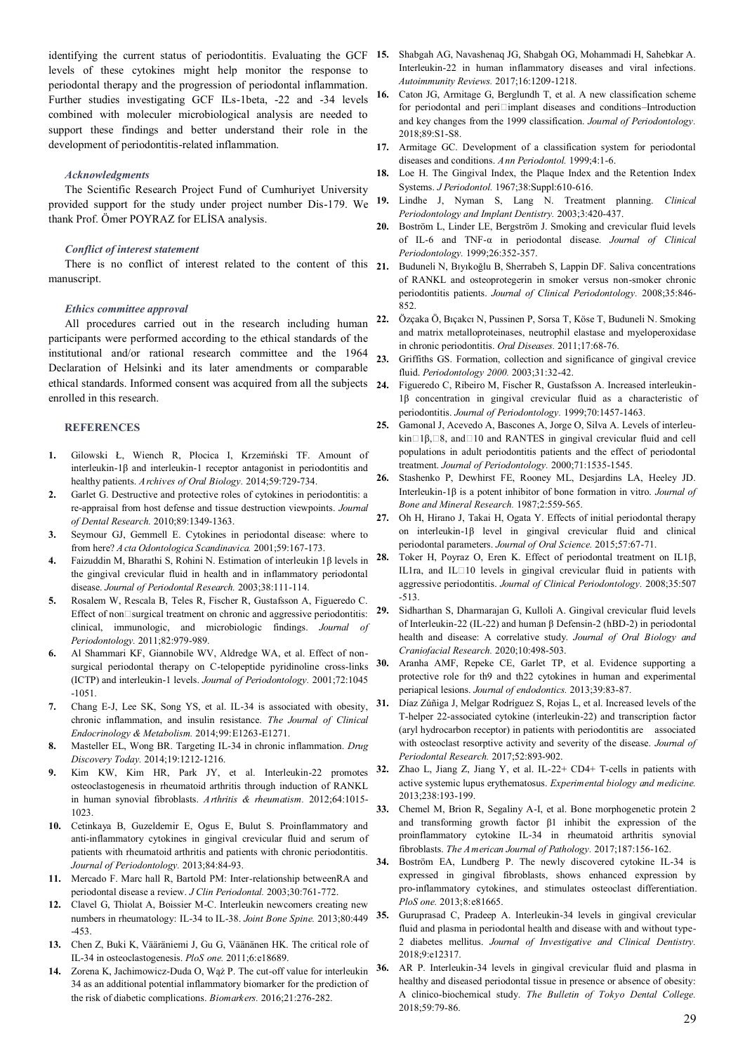identifying the current status of periodontitis. Evaluating the GCF 15. levels of these cytokines might help monitor the response to periodontal therapy and the progression of periodontal inflammation. Further studies investigating GCF ILs-1beta, -22 and -34 levels combined with moleculer microbiological analysis are needed to support these findings and better understand their role in the development of periodontitis-related inflammation.

#### *Acknowledgments*

The Scientific Research Project Fund of Cumhuriyet University provided support for the study under project number Dis-179. We thank Prof. Ömer POYRAZ for ELİSA analysis.

# *Conflict of interest statement*

There is no conflict of interest related to the content of this 21. manuscript.

# *Ethics committee approval*

All procedures carried out in the research including human participants were performed according to the ethical standards of the institutional and/or rational research committee and the 1964 Declaration of Helsinki and its later amendments or comparable ethical standards. Informed consent was acquired from all the subjects enrolled in this research.

#### **REFERENCES**

- **1.** Gilowski Ł, Wiench R, Płocica I, Krzemiński TF. Amount of interleukin-1β and interleukin-1 receptor antagonist in periodontitis and healthy patients. *Archives of Oral Biology.* 2014;59:729-734.
- **2.** Garlet G. Destructive and protective roles of cytokines in periodontitis: a re-appraisal from host defense and tissue destruction viewpoints. *Journal of Dental Research.* 2010;89:1349-1363.
- **3.** Seymour GJ, Gemmell E. Cytokines in periodontal disease: where to from here? *A cta Odontologica Scandinavica.* 2001;59:167-173.
- **4.** Faizuddin M, Bharathi S, Rohini N. Estimation of interleukin 1β levels in the gingival crevicular fluid in health and in inflammatory periodontal disease. *Journal of Periodontal Research.* 2003;38:111-114.
- **5.** Rosalem W, Rescala B, Teles R, Fischer R, Gustafsson A, Figueredo C. Effect of non $\square$ surgical treatment on chronic and aggressive periodontitis: clinical, immunologic, and microbiologic findings. *Journal of Periodontology.* 2011;82:979-989.
- **6.** Al Shammari KF, Giannobile WV, Aldredge WA, et al. Effect of nonsurgical periodontal therapy on C-telopeptide pyridinoline cross-links (ICTP) and interleukin-1 levels. *Journal of Periodontology.* 2001;72:1045 -1051.
- **7.** Chang E-J, Lee SK, Song YS, et al. IL-34 is associated with obesity, chronic inflammation, and insulin resistance. *The Journal of Clinical Endocrinology & Metabolism.* 2014;99:E1263-E1271.
- **8.** Masteller EL, Wong BR. Targeting IL-34 in chronic inflammation. *Drug Discovery Today.* 2014;19:1212-1216.
- **9.** Kim KW, Kim HR, Park JY, et al. Interleukin-22 promotes osteoclastogenesis in rheumatoid arthritis through induction of RANKL in human synovial fibroblasts. *Arthritis & rheumatism.* 2012;64:1015- 1023.
- **10.** Cetinkaya B, Guzeldemir E, Ogus E, Bulut S. Proinflammatory and anti-inflammatory cytokines in gingival crevicular fluid and serum of patients with rheumatoid arthritis and patients with chronic periodontitis. *Journal of Periodontology.* 2013;84:84-93.
- **11.** Mercado F. Marc hall R, Bartold PM: Inter-relationship betweenRA and periodontal disease a review. *J Clin Periodontal.* 2003;30:761-772.
- **12.** Clavel G, Thiolat A, Boissier M-C. Interleukin newcomers creating new numbers in rheumatology: IL-34 to IL-38. *Joint Bone Spine.* 2013;80:449 -453.
- **13.** Chen Z, Buki K, Vääräniemi J, Gu G, Väänänen HK. The critical role of IL-34 in osteoclastogenesis. *PloS one.* 2011;6:e18689.
- **14.** Zorena K, Jachimowicz-Duda O, Wąż P. The cut-off value for interleukin 34 as an additional potential inflammatory biomarker for the prediction of the risk of diabetic complications. *Biomarkers.* 2016;21:276-282.
- **15.** Shabgah AG, Navashenaq JG, Shabgah OG, Mohammadi H, Sahebkar A. Interleukin-22 in human inflammatory diseases and viral infections. *Autoimmunity Reviews.* 2017;16:1209-1218.
- **16.** Caton JG, Armitage G, Berglundh T, et al. A new classification scheme for periodontal and peri□implant diseases and conditions–Introduction and key changes from the 1999 classification. *Journal of Periodontology.* 2018;89:S1-S8.
- **17.** Armitage GC. Development of a classification system for periodontal diseases and conditions. *Ann Periodontol.* 1999;4:1-6.
- **18.** Loe H. The Gingival Index, the Plaque Index and the Retention Index Systems. *J Periodontol.* 1967;38:Suppl:610-616.
- **19.** Lindhe J, Nyman S, Lang N. Treatment planning. *Clinical Periodontology and Implant Dentistry.* 2003;3:420-437.
- **20.** Boström L, Linder LE, Bergström J. Smoking and crevicular fluid levels of IL-6 and TNF-α in periodontal disease. *Journal of Clinical Periodontology.* 1999;26:352-357.
- **21.** Buduneli N, Bıyıkoğlu B, Sherrabeh S, Lappin DF. Saliva concentrations of RANKL and osteoprotegerin in smoker versus non-smoker chronic periodontitis patients. *Journal of Clinical Periodontology.* 2008;35:846- 852.
- **22.** Özçaka Ö, Bıçakcı N, Pussinen P, Sorsa T, Köse T, Buduneli N. Smoking and matrix metalloproteinases, neutrophil elastase and myeloperoxidase in chronic periodontitis. *Oral Diseases.* 2011;17:68-76.
- **23.** Griffiths GS. Formation, collection and significance of gingival crevice fluid. *Periodontology 2000.* 2003;31:32-42.
- **24.** Figueredo C, Ribeiro M, Fischer R, Gustafsson A. Increased interleukin-1β concentration in gingival crevicular fluid as a characteristic of periodontitis. *Journal of Periodontology.* 1999;70:1457-1463.
- **25.** Gamonal J, Acevedo A, Bascones A, Jorge O, Silva A. Levels of interleukin $\Box$ 1 $\beta$ ,  $\Box$ 8, and $\Box$ 10 and RANTES in gingival crevicular fluid and cell populations in adult periodontitis patients and the effect of periodontal treatment. *Journal of Periodontology.* 2000;71:1535-1545.
- **26.** Stashenko P, Dewhirst FE, Rooney ML, Desjardins LA, Heeley JD. Interleukin-1β is a potent inhibitor of bone formation in vitro. *Journal of Bone and Mineral Research.* 1987;2:559-565.
- **27.** Oh H, Hirano J, Takai H, Ogata Y. Effects of initial periodontal therapy on interleukin-1β level in gingival crevicular fluid and clinical periodontal parameters. *Journal of Oral Science.* 2015;57:67-71.
- **28.** Toker H, Poyraz O, Eren K. Effect of periodontal treatment on IL1β, IL1ra, and IL‐10 levels in gingival crevicular fluid in patients with aggressive periodontitis. *Journal of Clinical Periodontology.* 2008;35:507 -513.
- **29.** Sidharthan S, Dharmarajan G, Kulloli A. Gingival crevicular fluid levels of Interleukin-22 (IL-22) and human β Defensin-2 (hBD-2) in periodontal health and disease: A correlative study. *Journal of Oral Biology and Craniofacial Research.* 2020;10:498-503.
- **30.** Aranha AMF, Repeke CE, Garlet TP, et al. Evidence supporting a protective role for th9 and th22 cytokines in human and experimental periapical lesions. *Journal of endodontics.* 2013;39:83-87.
- **31.** Díaz Zúñiga J, Melgar Rodríguez S, Rojas L, et al. Increased levels of the T-helper 22-associated cytokine (interleukin-22) and transcription factor (aryl hydrocarbon receptor) in patients with periodontitis are associated with osteoclast resorptive activity and severity of the disease. *Journal of Periodontal Research.* 2017;52:893-902.
- **32.** Zhao L, Jiang Z, Jiang Y, et al. IL-22+ CD4+ T-cells in patients with active systemic lupus erythematosus. *Experimental biology and medicine.* 2013;238:193-199.
- **33.** Chemel M, Brion R, Segaliny A-I, et al. Bone morphogenetic protein 2 and transforming growth factor β1 inhibit the expression of the proinflammatory cytokine IL-34 in rheumatoid arthritis synovial fibroblasts. *The American Journal of Pathology.* 2017;187:156-162.
- **34.** Boström EA, Lundberg P. The newly discovered cytokine IL-34 is expressed in gingival fibroblasts, shows enhanced expression by pro-inflammatory cytokines, and stimulates osteoclast differentiation. *PloS one.* 2013;8:e81665.
- **35.** Guruprasad C, Pradeep A. Interleukin-34 levels in gingival crevicular fluid and plasma in periodontal health and disease with and without type-2 diabetes mellitus. *Journal of Investigative and Clinical Dentistry.* 2018;9:e12317.
- **36.** AR P. Interleukin-34 levels in gingival crevicular fluid and plasma in healthy and diseased periodontal tissue in presence or absence of obesity: A clinico-biochemical study. *The Bulletin of Tokyo Dental College.* 2018;59:79-86.